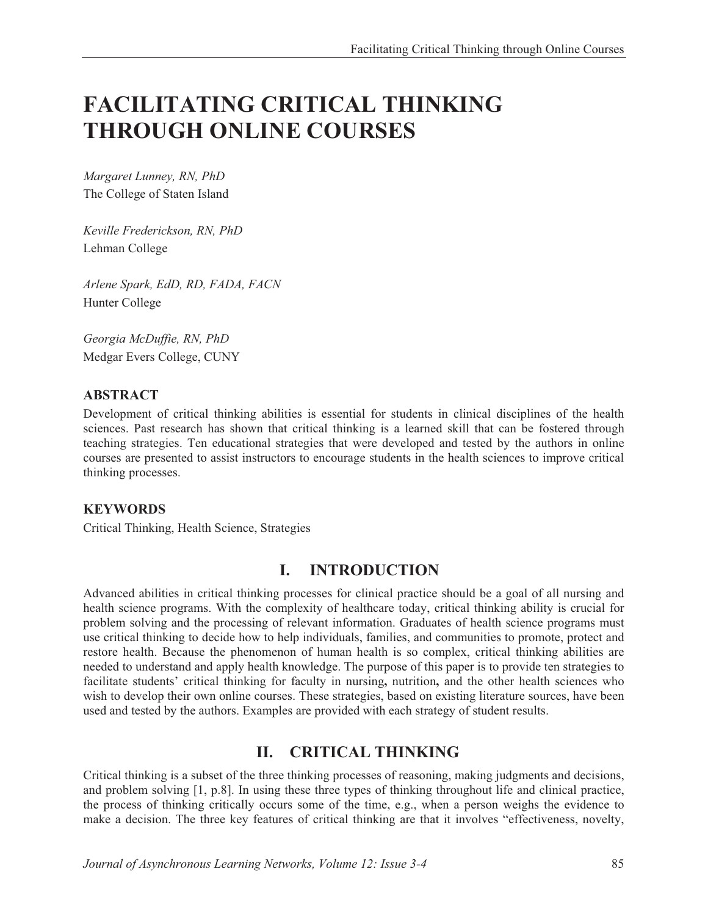# **FACILITATING CRITICAL THINKING THROUGH ONLINE COURSES**

*Margaret Lunney, RN, PhD*  The College of Staten Island

*Keville Frederickson, RN, PhD*  Lehman College

*Arlene Spark, EdD, RD, FADA, FACN*  Hunter College

*Georgia McDuffie, RN, PhD*  Medgar Evers College, CUNY

### **ABSTRACT**

Development of critical thinking abilities is essential for students in clinical disciplines of the health sciences. Past research has shown that critical thinking is a learned skill that can be fostered through teaching strategies. Ten educational strategies that were developed and tested by the authors in online courses are presented to assist instructors to encourage students in the health sciences to improve critical thinking processes.

### **KEYWORDS**

Critical Thinking, Health Science, Strategies

## **I. INTRODUCTION**

Advanced abilities in critical thinking processes for clinical practice should be a goal of all nursing and health science programs. With the complexity of healthcare today, critical thinking ability is crucial for problem solving and the processing of relevant information. Graduates of health science programs must use critical thinking to decide how to help individuals, families, and communities to promote, protect and restore health. Because the phenomenon of human health is so complex, critical thinking abilities are needed to understand and apply health knowledge. The purpose of this paper is to provide ten strategies to facilitate students' critical thinking for faculty in nursing**,** nutrition**,** and the other health sciences who wish to develop their own online courses. These strategies, based on existing literature sources, have been used and tested by the authors. Examples are provided with each strategy of student results.

## **II. CRITICAL THINKING**

Critical thinking is a subset of the three thinking processes of reasoning, making judgments and decisions, and problem solving [1, p.8]. In using these three types of thinking throughout life and clinical practice, the process of thinking critically occurs some of the time, e.g., when a person weighs the evidence to make a decision. The three key features of critical thinking are that it involves "effectiveness, novelty,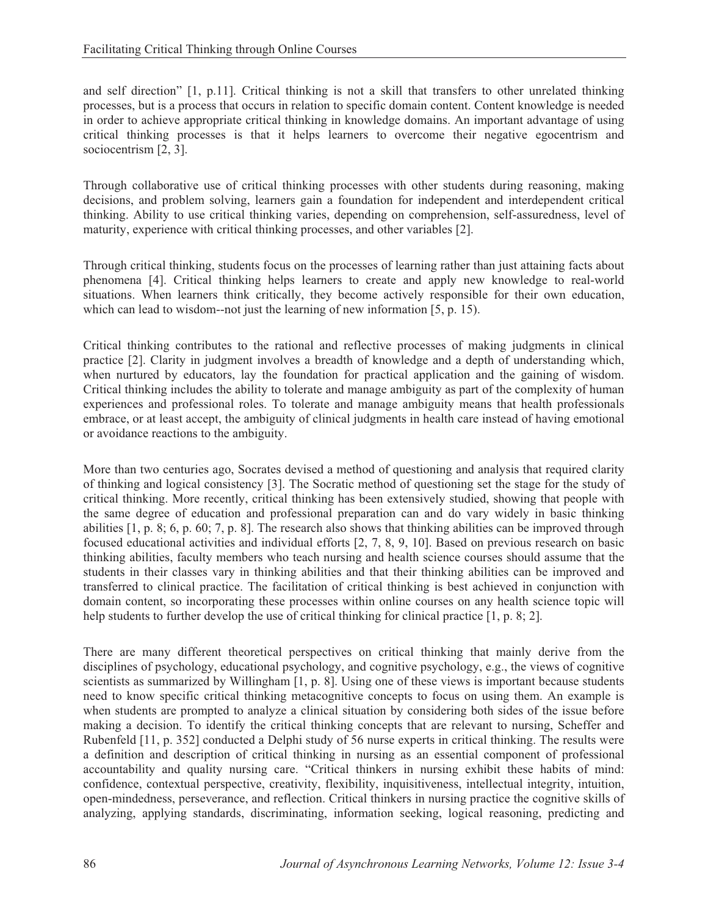and self direction" [1, p.11]. Critical thinking is not a skill that transfers to other unrelated thinking processes, but is a process that occurs in relation to specific domain content. Content knowledge is needed in order to achieve appropriate critical thinking in knowledge domains. An important advantage of using critical thinking processes is that it helps learners to overcome their negative egocentrism and sociocentrism [2, 3].

Through collaborative use of critical thinking processes with other students during reasoning, making decisions, and problem solving, learners gain a foundation for independent and interdependent critical thinking. Ability to use critical thinking varies, depending on comprehension, self-assuredness, level of maturity, experience with critical thinking processes, and other variables [2].

Through critical thinking, students focus on the processes of learning rather than just attaining facts about phenomena [4]. Critical thinking helps learners to create and apply new knowledge to real-world situations. When learners think critically, they become actively responsible for their own education, which can lead to wisdom--not just the learning of new information [5, p. 15).

Critical thinking contributes to the rational and reflective processes of making judgments in clinical practice [2]. Clarity in judgment involves a breadth of knowledge and a depth of understanding which, when nurtured by educators, lay the foundation for practical application and the gaining of wisdom. Critical thinking includes the ability to tolerate and manage ambiguity as part of the complexity of human experiences and professional roles. To tolerate and manage ambiguity means that health professionals embrace, or at least accept, the ambiguity of clinical judgments in health care instead of having emotional or avoidance reactions to the ambiguity.

More than two centuries ago, Socrates devised a method of questioning and analysis that required clarity of thinking and logical consistency [3]. The Socratic method of questioning set the stage for the study of critical thinking. More recently, critical thinking has been extensively studied, showing that people with the same degree of education and professional preparation can and do vary widely in basic thinking abilities [1, p. 8; 6, p. 60; 7, p. 8]. The research also shows that thinking abilities can be improved through focused educational activities and individual efforts [2, 7, 8, 9, 10]. Based on previous research on basic thinking abilities, faculty members who teach nursing and health science courses should assume that the students in their classes vary in thinking abilities and that their thinking abilities can be improved and transferred to clinical practice. The facilitation of critical thinking is best achieved in conjunction with domain content, so incorporating these processes within online courses on any health science topic will help students to further develop the use of critical thinking for clinical practice [1, p. 8; 2].

There are many different theoretical perspectives on critical thinking that mainly derive from the disciplines of psychology, educational psychology, and cognitive psychology, e.g., the views of cognitive scientists as summarized by Willingham [1, p. 8]. Using one of these views is important because students need to know specific critical thinking metacognitive concepts to focus on using them. An example is when students are prompted to analyze a clinical situation by considering both sides of the issue before making a decision. To identify the critical thinking concepts that are relevant to nursing, Scheffer and Rubenfeld [11, p. 352] conducted a Delphi study of 56 nurse experts in critical thinking. The results were a definition and description of critical thinking in nursing as an essential component of professional accountability and quality nursing care. "Critical thinkers in nursing exhibit these habits of mind: confidence, contextual perspective, creativity, flexibility, inquisitiveness, intellectual integrity, intuition, open-mindedness, perseverance, and reflection. Critical thinkers in nursing practice the cognitive skills of analyzing, applying standards, discriminating, information seeking, logical reasoning, predicting and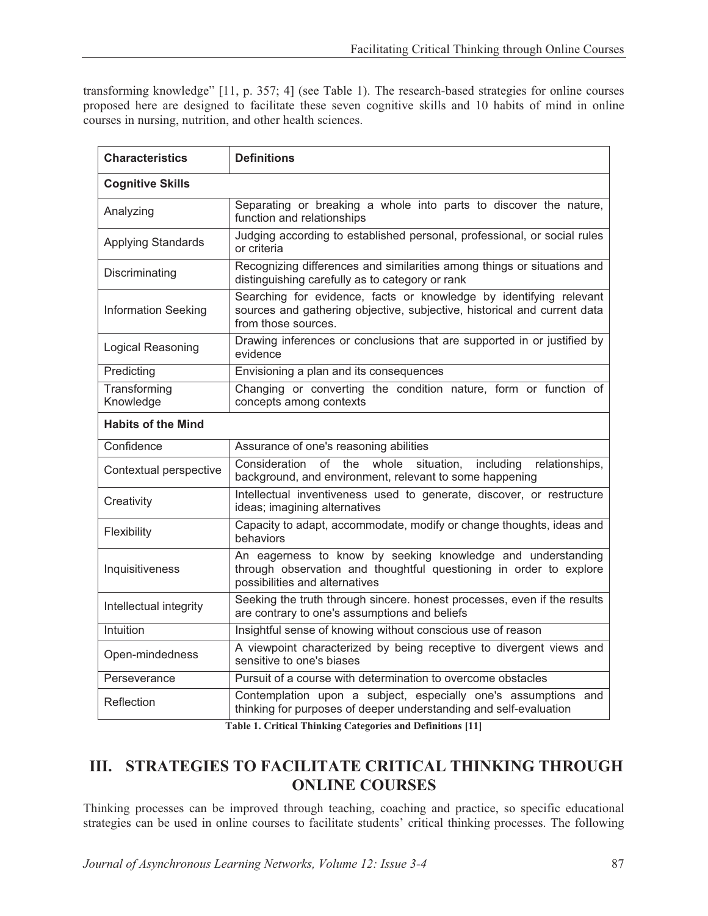transforming knowledge" [11, p. 357; 4] (see Table 1). The research-based strategies for online courses proposed here are designed to facilitate these seven cognitive skills and 10 habits of mind in online courses in nursing, nutrition, and other health sciences.

| <b>Characteristics</b>     | <b>Definitions</b>                                                                                                                                                    |  |  |
|----------------------------|-----------------------------------------------------------------------------------------------------------------------------------------------------------------------|--|--|
| <b>Cognitive Skills</b>    |                                                                                                                                                                       |  |  |
| Analyzing                  | Separating or breaking a whole into parts to discover the nature,<br>function and relationships                                                                       |  |  |
| <b>Applying Standards</b>  | Judging according to established personal, professional, or social rules<br>or criteria                                                                               |  |  |
| Discriminating             | Recognizing differences and similarities among things or situations and<br>distinguishing carefully as to category or rank                                            |  |  |
| <b>Information Seeking</b> | Searching for evidence, facts or knowledge by identifying relevant<br>sources and gathering objective, subjective, historical and current data<br>from those sources. |  |  |
| Logical Reasoning          | Drawing inferences or conclusions that are supported in or justified by<br>evidence                                                                                   |  |  |
| Predicting                 | Envisioning a plan and its consequences                                                                                                                               |  |  |
| Transforming<br>Knowledge  | Changing or converting the condition nature, form or function of<br>concepts among contexts                                                                           |  |  |
| <b>Habits of the Mind</b>  |                                                                                                                                                                       |  |  |
| Confidence                 | Assurance of one's reasoning abilities                                                                                                                                |  |  |
| Contextual perspective     | of the<br>Consideration<br>whole<br>situation,<br>relationships,<br>including<br>background, and environment, relevant to some happening                              |  |  |
| Creativity                 | Intellectual inventiveness used to generate, discover, or restructure<br>ideas; imagining alternatives                                                                |  |  |
| Flexibility                | Capacity to adapt, accommodate, modify or change thoughts, ideas and<br>behaviors                                                                                     |  |  |
| Inquisitiveness            | An eagerness to know by seeking knowledge and understanding<br>through observation and thoughtful questioning in order to explore<br>possibilities and alternatives   |  |  |
| Intellectual integrity     | Seeking the truth through sincere. honest processes, even if the results<br>are contrary to one's assumptions and beliefs                                             |  |  |
| Intuition                  | Insightful sense of knowing without conscious use of reason                                                                                                           |  |  |
| Open-mindedness            | A viewpoint characterized by being receptive to divergent views and<br>sensitive to one's biases                                                                      |  |  |
| Perseverance               | Pursuit of a course with determination to overcome obstacles                                                                                                          |  |  |
| Reflection                 | Contemplation upon a subject, especially one's assumptions and<br>thinking for purposes of deeper understanding and self-evaluation                                   |  |  |

**Table 1. Critical Thinking Categories and Definitions [11]** 

# **III. STRATEGIES TO FACILITATE CRITICAL THINKING THROUGH ONLINE COURSES**

Thinking processes can be improved through teaching, coaching and practice, so specific educational strategies can be used in online courses to facilitate students' critical thinking processes. The following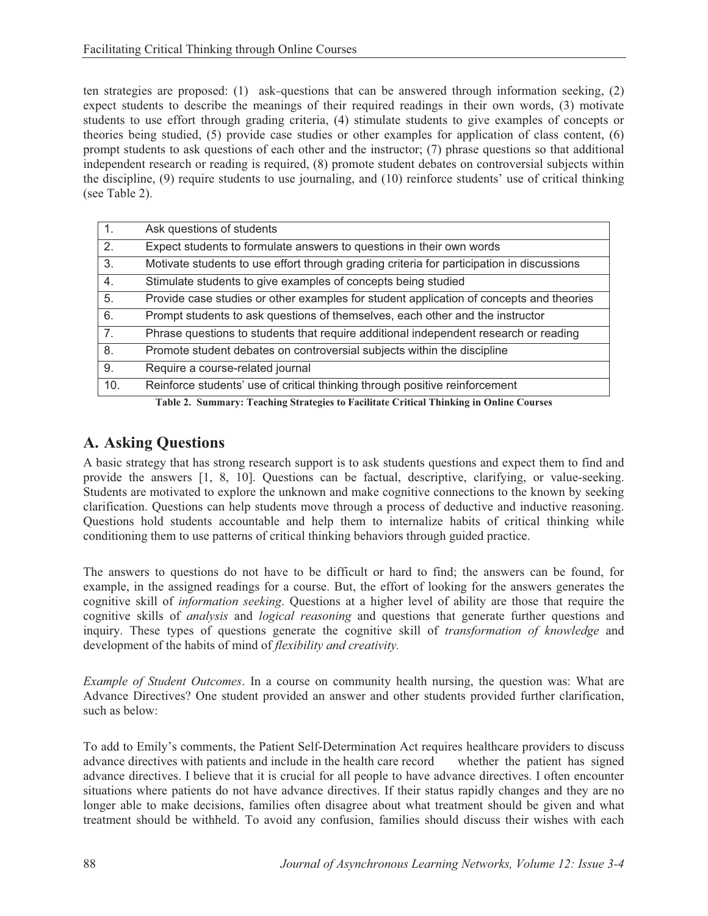ten strategies are proposed: (1) ask-questions that can be answered through information seeking, (2) expect students to describe the meanings of their required readings in their own words, (3) motivate students to use effort through grading criteria, (4) stimulate students to give examples of concepts or theories being studied, (5) provide case studies or other examples for application of class content, (6) prompt students to ask questions of each other and the instructor; (7) phrase questions so that additional independent research or reading is required, (8) promote student debates on controversial subjects within the discipline, (9) require students to use journaling, and (10) reinforce students' use of critical thinking (see Table 2).

| $\mathbf{1}$ . | Ask questions of students                                                                 |
|----------------|-------------------------------------------------------------------------------------------|
| 2.             | Expect students to formulate answers to questions in their own words                      |
| 3.             | Motivate students to use effort through grading criteria for participation in discussions |
| 4.             | Stimulate students to give examples of concepts being studied                             |
| 5.             | Provide case studies or other examples for student application of concepts and theories   |
| 6.             | Prompt students to ask questions of themselves, each other and the instructor             |
| 7 <sub>1</sub> | Phrase questions to students that require additional independent research or reading      |
| 8.             | Promote student debates on controversial subjects within the discipline                   |
| 9.             | Require a course-related journal                                                          |
| 10.            | Reinforce students' use of critical thinking through positive reinforcement               |
|                | Toble 2. Cummony Teaching Chrotogies to Fooilitate Critical Thinking in Online Courses    |

**Table 2. Summary: Teaching Strategies to Facilitate Critical Thinking in Online Courses** 

# **A. Asking Questions**

A basic strategy that has strong research support is to ask students questions and expect them to find and provide the answers [1, 8, 10]. Questions can be factual, descriptive, clarifying, or value-seeking. Students are motivated to explore the unknown and make cognitive connections to the known by seeking clarification. Questions can help students move through a process of deductive and inductive reasoning. Questions hold students accountable and help them to internalize habits of critical thinking while conditioning them to use patterns of critical thinking behaviors through guided practice.

The answers to questions do not have to be difficult or hard to find; the answers can be found, for example, in the assigned readings for a course. But, the effort of looking for the answers generates the cognitive skill of *information seeking*. Questions at a higher level of ability are those that require the cognitive skills of *analysis* and *logical reasoning* and questions that generate further questions and inquiry. These types of questions generate the cognitive skill of *transformation of knowledge* and development of the habits of mind of *flexibility and creativity.*

*Example of Student Outcomes*. In a course on community health nursing, the question was: What are Advance Directives? One student provided an answer and other students provided further clarification, such as below:

To add to Emily's comments, the Patient Self-Determination Act requires healthcare providers to discuss advance directives with patients and include in the health care record whether the patient has signed advance directives with patients and include in the health care record advance directives. I believe that it is crucial for all people to have advance directives. I often encounter situations where patients do not have advance directives. If their status rapidly changes and they are no longer able to make decisions, families often disagree about what treatment should be given and what treatment should be withheld. To avoid any confusion, families should discuss their wishes with each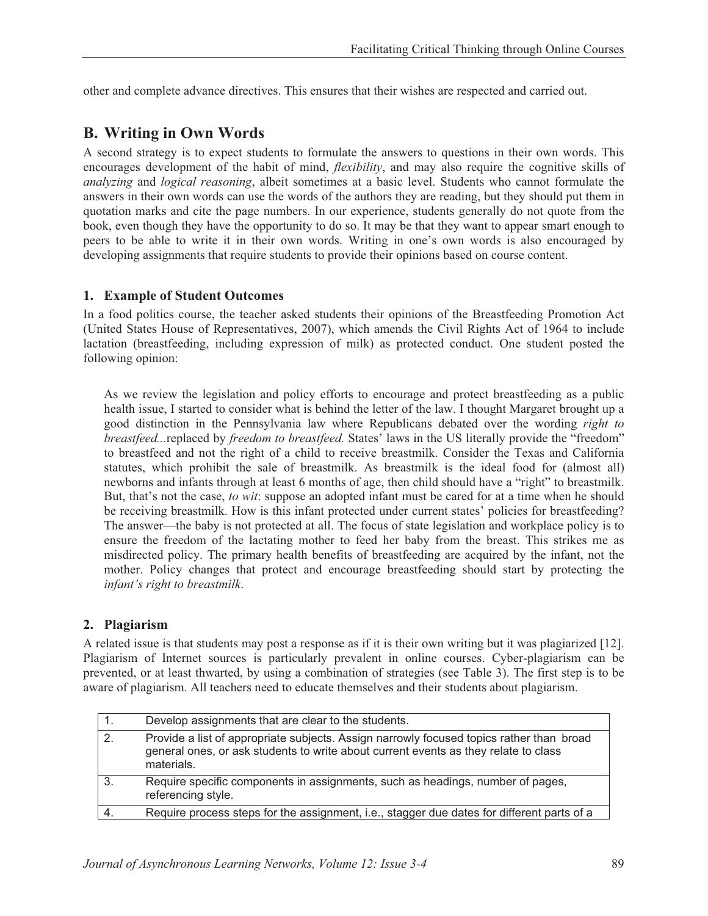other and complete advance directives. This ensures that their wishes are respected and carried out.

# **B. Writing in Own Words**

A second strategy is to expect students to formulate the answers to questions in their own words. This encourages development of the habit of mind, *flexibility*, and may also require the cognitive skills of *analyzing* and *logical reasoning*, albeit sometimes at a basic level. Students who cannot formulate the answers in their own words can use the words of the authors they are reading, but they should put them in quotation marks and cite the page numbers. In our experience, students generally do not quote from the book, even though they have the opportunity to do so. It may be that they want to appear smart enough to peers to be able to write it in their own words. Writing in one's own words is also encouraged by developing assignments that require students to provide their opinions based on course content.

### **1. Example of Student Outcomes**

In a food politics course, the teacher asked students their opinions of the Breastfeeding Promotion Act (United States House of Representatives, 2007), which amends the Civil Rights Act of 1964 to include lactation (breastfeeding, including expression of milk) as protected conduct. One student posted the following opinion:

As we review the legislation and policy efforts to encourage and protect breastfeeding as a public health issue, I started to consider what is behind the letter of the law. I thought Margaret brought up a good distinction in the Pennsylvania law where Republicans debated over the wording *right to breastfeed...*replaced by *freedom to breastfeed.* States' laws in the US literally provide the "freedom" to breastfeed and not the right of a child to receive breastmilk. Consider the Texas and California statutes, which prohibit the sale of breastmilk. As breastmilk is the ideal food for (almost all) newborns and infants through at least 6 months of age, then child should have a "right" to breastmilk. But, that's not the case, *to wit*: suppose an adopted infant must be cared for at a time when he should be receiving breastmilk. How is this infant protected under current states' policies for breastfeeding? The answer—the baby is not protected at all. The focus of state legislation and workplace policy is to ensure the freedom of the lactating mother to feed her baby from the breast. This strikes me as misdirected policy. The primary health benefits of breastfeeding are acquired by the infant, not the mother. Policy changes that protect and encourage breastfeeding should start by protecting the *infant's right to breastmilk*.

### **2. Plagiarism**

A related issue is that students may post a response as if it is their own writing but it was plagiarized [12]. Plagiarism of Internet sources is particularly prevalent in online courses. Cyber-plagiarism can be prevented, or at least thwarted, by using a combination of strategies (see Table 3). The first step is to be aware of plagiarism. All teachers need to educate themselves and their students about plagiarism.

|              | Develop assignments that are clear to the students.                                                                                                                                           |
|--------------|-----------------------------------------------------------------------------------------------------------------------------------------------------------------------------------------------|
| 2.           | Provide a list of appropriate subjects. Assign narrowly focused topics rather than broad<br>general ones, or ask students to write about current events as they relate to class<br>materials. |
| $\mathbf{3}$ | Require specific components in assignments, such as headings, number of pages,<br>referencing style.                                                                                          |
|              | Require process steps for the assignment, i.e., stagger due dates for different parts of a                                                                                                    |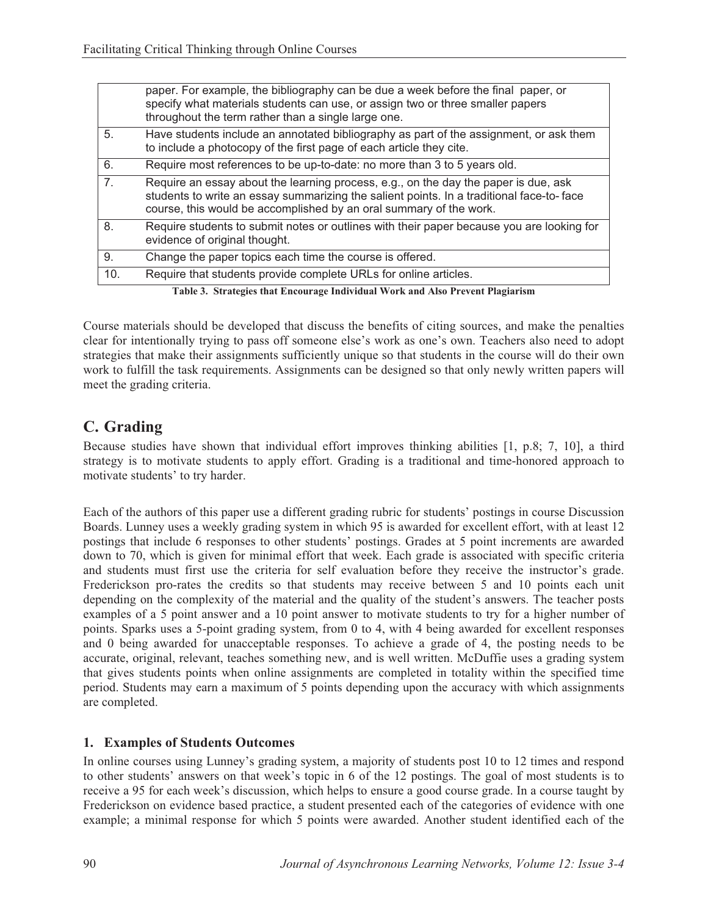|                | paper. For example, the bibliography can be due a week before the final paper, or<br>specify what materials students can use, or assign two or three smaller papers<br>throughout the term rather than a single large one.                            |
|----------------|-------------------------------------------------------------------------------------------------------------------------------------------------------------------------------------------------------------------------------------------------------|
| 5.             | Have students include an annotated bibliography as part of the assignment, or ask them<br>to include a photocopy of the first page of each article they cite.                                                                                         |
| 6.             | Require most references to be up-to-date: no more than 3 to 5 years old.                                                                                                                                                                              |
| 7 <sub>1</sub> | Require an essay about the learning process, e.g., on the day the paper is due, ask<br>students to write an essay summarizing the salient points. In a traditional face-to-face<br>course, this would be accomplished by an oral summary of the work. |
| 8.             | Require students to submit notes or outlines with their paper because you are looking for<br>evidence of original thought.                                                                                                                            |
| 9.             | Change the paper topics each time the course is offered.                                                                                                                                                                                              |
| 10.            | Require that students provide complete URLs for online articles.                                                                                                                                                                                      |
|                | .<br>$\mathbf{r}$ , $\mathbf{r}$ , $\mathbf{r}$ , $\mathbf{r}$ , $\mathbf{r}$                                                                                                                                                                         |

**Table 3. Strategies that Encourage Individual Work and Also Prevent Plagiarism** 

Course materials should be developed that discuss the benefits of citing sources, and make the penalties clear for intentionally trying to pass off someone else's work as one's own. Teachers also need to adopt strategies that make their assignments sufficiently unique so that students in the course will do their own work to fulfill the task requirements. Assignments can be designed so that only newly written papers will meet the grading criteria.

# **C. Grading**

Because studies have shown that individual effort improves thinking abilities [1, p.8; 7, 10], a third strategy is to motivate students to apply effort. Grading is a traditional and time-honored approach to motivate students' to try harder.

Each of the authors of this paper use a different grading rubric for students' postings in course Discussion Boards. Lunney uses a weekly grading system in which 95 is awarded for excellent effort, with at least 12 postings that include 6 responses to other students' postings. Grades at 5 point increments are awarded down to 70, which is given for minimal effort that week. Each grade is associated with specific criteria and students must first use the criteria for self evaluation before they receive the instructor's grade. Frederickson pro-rates the credits so that students may receive between 5 and 10 points each unit depending on the complexity of the material and the quality of the student's answers. The teacher posts examples of a 5 point answer and a 10 point answer to motivate students to try for a higher number of points. Sparks uses a 5-point grading system, from 0 to 4, with 4 being awarded for excellent responses and 0 being awarded for unacceptable responses. To achieve a grade of 4, the posting needs to be accurate, original, relevant, teaches something new, and is well written. McDuffie uses a grading system that gives students points when online assignments are completed in totality within the specified time period. Students may earn a maximum of 5 points depending upon the accuracy with which assignments are completed.

### **1. Examples of Students Outcomes**

In online courses using Lunney's grading system, a majority of students post 10 to 12 times and respond to other students' answers on that week's topic in 6 of the 12 postings. The goal of most students is to receive a 95 for each week's discussion, which helps to ensure a good course grade. In a course taught by Frederickson on evidence based practice, a student presented each of the categories of evidence with one example; a minimal response for which 5 points were awarded. Another student identified each of the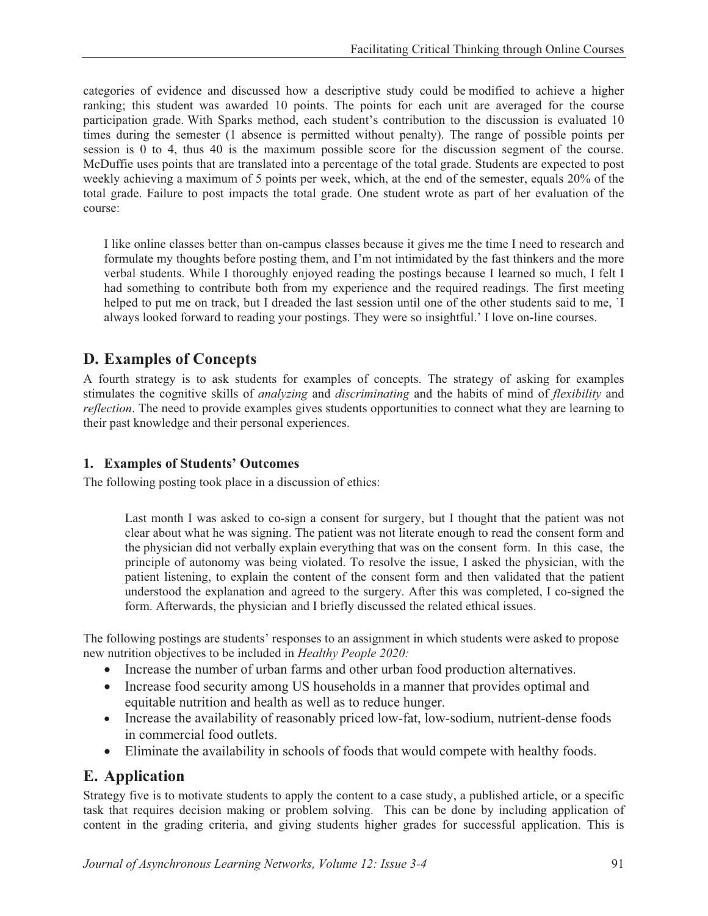categories of evidence and discussed how a descriptive study could be modified to achieve a higher ranking; this student was awarded 10 points. The points for each unit are averaged for the course participation grade. With Sparks method, each student's contribution to the discussion is evaluated 10 times during the semester (1 absence is permitted without penalty). The range of possible points per session is 0 to 4, thus 40 is the maximum possible score for the discussion segment of the course. McDuffie uses points that are translated into a percentage of the total grade. Students are expected to post weekly achieving a maximum of 5 points per week, which, at the end of the semester, equals 20% of the total grade. Failure to post impacts the total grade. One student wrote as part of her evaluation of the course:

I like online classes better than on-campus classes because it gives me the time I need to research and formulate my thoughts before posting them, and I'm not intimidated by the fast thinkers and the more verbal students. While I thoroughly enjoyed reading the postings because I learned so much, I felt I had something to contribute both from my experience and the required readings. The first meeting helped to put me on track, but I dreaded the last session until one of the other students said to me, `I always looked forward to reading your postings. They were so insightful.' I love on-line courses.

# **D. Examples of Concepts**

A fourth strategy is to ask students for examples of concepts. The strategy of asking for examples stimulates the cognitive skills of *analyzing* and *discriminating* and the habits of mind of *flexibility* and *reflection*. The need to provide examples gives students opportunities to connect what they are learning to their past knowledge and their personal experiences.

### **1. Examples of Students' Outcomes**

The following posting took place in a discussion of ethics:

Last month I was asked to co-sign a consent for surgery, but I thought that the patient was not clear about what he was signing. The patient was not literate enough to read the consent form and the physician did not verbally explain everything that was on the consent form. In this case, the principle of autonomy was being violated. To resolve the issue, I asked the physician, with the patient listening, to explain the content of the consent form and then validated that the patient understood the explanation and agreed to the surgery. After this was completed, I co-signed the form. Afterwards, the physician and I briefly discussed the related ethical issues.

The following postings are students' responses to an assignment in which students were asked to propose new nutrition objectives to be included in *Healthy People 2020:* 

- Increase the number of urban farms and other urban food production alternatives.
- Increase food security among US households in a manner that provides optimal and equitable nutrition and health as well as to reduce hunger.
- Increase the availability of reasonably priced low-fat, low-sodium, nutrient-dense foods in commercial food outlets.
- Eliminate the availability in schools of foods that would compete with healthy foods.

## **E. Application**

Strategy five is to motivate students to apply the content to a case study, a published article, or a specific task that requires decision making or problem solving. This can be done by including application of content in the grading criteria, and giving students higher grades for successful application. This is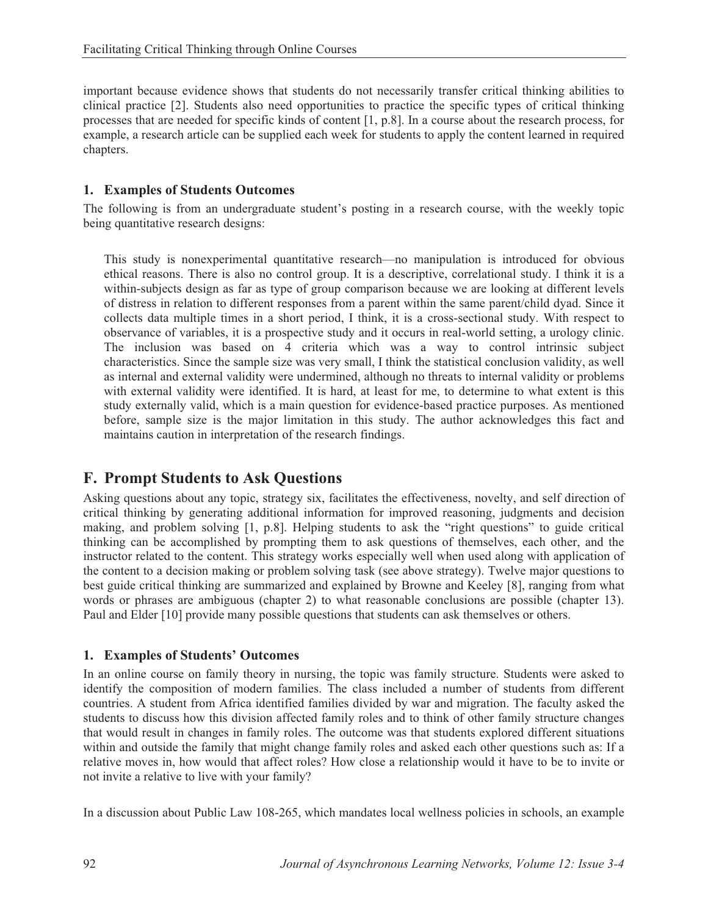important because evidence shows that students do not necessarily transfer critical thinking abilities to clinical practice [2]. Students also need opportunities to practice the specific types of critical thinking processes that are needed for specific kinds of content [1, p.8]. In a course about the research process, for example, a research article can be supplied each week for students to apply the content learned in required chapters.

#### **1. Examples of Students Outcomes**

The following is from an undergraduate student's posting in a research course, with the weekly topic being quantitative research designs:

This study is nonexperimental quantitative research—no manipulation is introduced for obvious ethical reasons. There is also no control group. It is a descriptive, correlational study. I think it is a within-subjects design as far as type of group comparison because we are looking at different levels of distress in relation to different responses from a parent within the same parent/child dyad. Since it collects data multiple times in a short period, I think, it is a cross-sectional study. With respect to observance of variables, it is a prospective study and it occurs in real-world setting, a urology clinic. The inclusion was based on 4 criteria which was a way to control intrinsic subject characteristics. Since the sample size was very small, I think the statistical conclusion validity, as well as internal and external validity were undermined, although no threats to internal validity or problems with external validity were identified. It is hard, at least for me, to determine to what extent is this study externally valid, which is a main question for evidence-based practice purposes. As mentioned before, sample size is the major limitation in this study. The author acknowledges this fact and maintains caution in interpretation of the research findings.

# **F. Prompt Students to Ask Questions**

Asking questions about any topic, strategy six, facilitates the effectiveness, novelty, and self direction of critical thinking by generating additional information for improved reasoning, judgments and decision making, and problem solving [1, p.8]. Helping students to ask the "right questions" to guide critical thinking can be accomplished by prompting them to ask questions of themselves, each other, and the instructor related to the content. This strategy works especially well when used along with application of the content to a decision making or problem solving task (see above strategy). Twelve major questions to best guide critical thinking are summarized and explained by Browne and Keeley [8], ranging from what words or phrases are ambiguous (chapter 2) to what reasonable conclusions are possible (chapter 13). Paul and Elder [10] provide many possible questions that students can ask themselves or others.

### **1. Examples of Students' Outcomes**

In an online course on family theory in nursing, the topic was family structure. Students were asked to identify the composition of modern families. The class included a number of students from different countries. A student from Africa identified families divided by war and migration. The faculty asked the students to discuss how this division affected family roles and to think of other family structure changes that would result in changes in family roles. The outcome was that students explored different situations within and outside the family that might change family roles and asked each other questions such as: If a relative moves in, how would that affect roles? How close a relationship would it have to be to invite or not invite a relative to live with your family?

In a discussion about Public Law 108-265, which mandates local wellness policies in schools, an example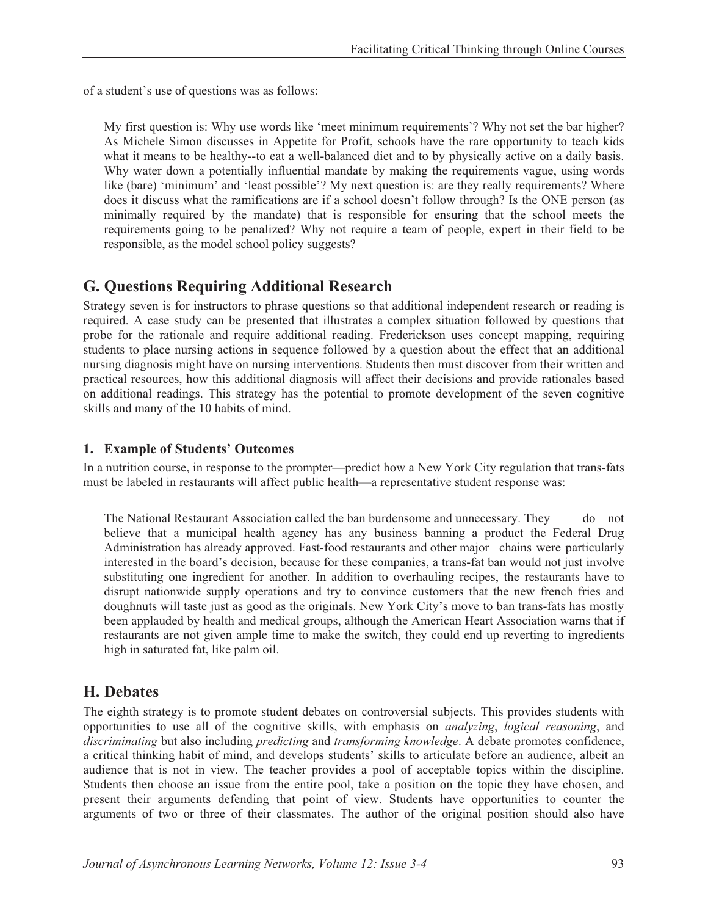of a student's use of questions was as follows:

My first question is: Why use words like 'meet minimum requirements'? Why not set the bar higher? As Michele Simon discusses in Appetite for Profit, schools have the rare opportunity to teach kids what it means to be healthy--to eat a well-balanced diet and to by physically active on a daily basis. Why water down a potentially influential mandate by making the requirements vague, using words like (bare) 'minimum' and 'least possible'? My next question is: are they really requirements? Where does it discuss what the ramifications are if a school doesn't follow through? Is the ONE person (as minimally required by the mandate) that is responsible for ensuring that the school meets the requirements going to be penalized? Why not require a team of people, expert in their field to be responsible, as the model school policy suggests?

## **G. Questions Requiring Additional Research**

Strategy seven is for instructors to phrase questions so that additional independent research or reading is required. A case study can be presented that illustrates a complex situation followed by questions that probe for the rationale and require additional reading. Frederickson uses concept mapping, requiring students to place nursing actions in sequence followed by a question about the effect that an additional nursing diagnosis might have on nursing interventions. Students then must discover from their written and practical resources, how this additional diagnosis will affect their decisions and provide rationales based on additional readings. This strategy has the potential to promote development of the seven cognitive skills and many of the 10 habits of mind.

#### **1. Example of Students' Outcomes**

In a nutrition course, in response to the prompter—predict how a New York City regulation that trans-fats must be labeled in restaurants will affect public health—a representative student response was:

The National Restaurant Association called the ban burdensome and unnecessary. They do not believe that a municipal health agency has any business banning a product the Federal Drug Administration has already approved. Fast-food restaurants and other major chains were particularly interested in the board's decision, because for these companies, a trans-fat ban would not just involve substituting one ingredient for another. In addition to overhauling recipes, the restaurants have to disrupt nationwide supply operations and try to convince customers that the new french fries and doughnuts will taste just as good as the originals. New York City's move to ban trans-fats has mostly been applauded by health and medical groups, although the American Heart Association warns that if restaurants are not given ample time to make the switch, they could end up reverting to ingredients high in saturated fat, like palm oil.

## **H. Debates**

The eighth strategy is to promote student debates on controversial subjects. This provides students with opportunities to use all of the cognitive skills, with emphasis on *analyzing*, *logical reasoning*, and *discriminating* but also including *predicting* and *transforming knowledge*. A debate promotes confidence, a critical thinking habit of mind, and develops students' skills to articulate before an audience, albeit an audience that is not in view. The teacher provides a pool of acceptable topics within the discipline. Students then choose an issue from the entire pool, take a position on the topic they have chosen, and present their arguments defending that point of view. Students have opportunities to counter the arguments of two or three of their classmates. The author of the original position should also have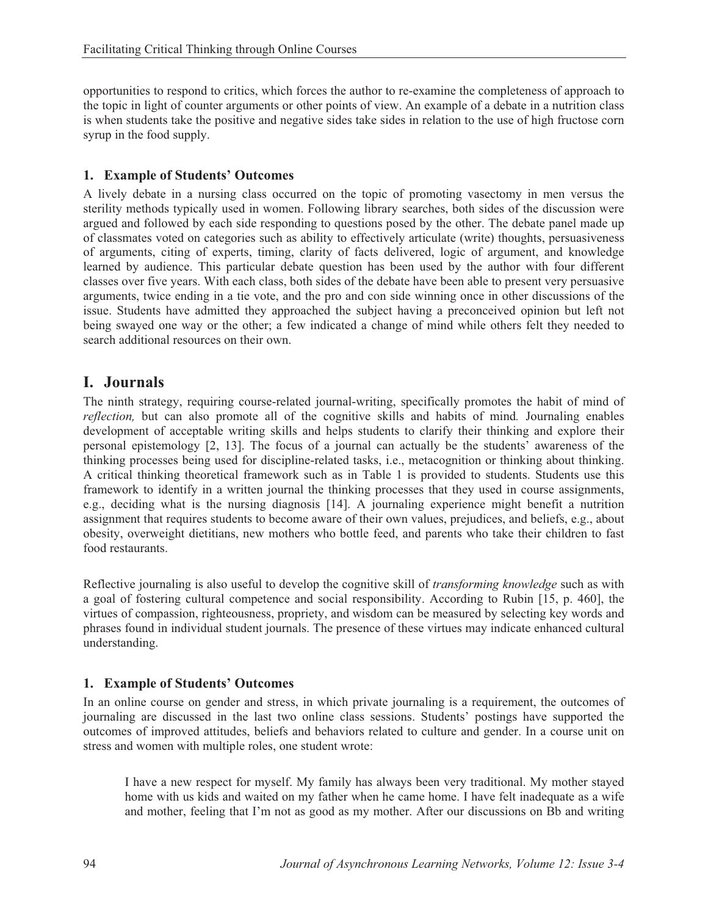opportunities to respond to critics, which forces the author to re-examine the completeness of approach to the topic in light of counter arguments or other points of view. An example of a debate in a nutrition class is when students take the positive and negative sides take sides in relation to the use of high fructose corn syrup in the food supply.

#### **1. Example of Students' Outcomes**

A lively debate in a nursing class occurred on the topic of promoting vasectomy in men versus the sterility methods typically used in women. Following library searches, both sides of the discussion were argued and followed by each side responding to questions posed by the other. The debate panel made up of classmates voted on categories such as ability to effectively articulate (write) thoughts, persuasiveness of arguments, citing of experts, timing, clarity of facts delivered, logic of argument, and knowledge learned by audience. This particular debate question has been used by the author with four different classes over five years. With each class, both sides of the debate have been able to present very persuasive arguments, twice ending in a tie vote, and the pro and con side winning once in other discussions of the issue. Students have admitted they approached the subject having a preconceived opinion but left not being swayed one way or the other; a few indicated a change of mind while others felt they needed to search additional resources on their own.

## **I. Journals**

The ninth strategy, requiring course-related journal-writing, specifically promotes the habit of mind of *reflection,* but can also promote all of the cognitive skills and habits of mind*.* Journaling enables development of acceptable writing skills and helps students to clarify their thinking and explore their personal epistemology [2, 13]. The focus of a journal can actually be the students' awareness of the thinking processes being used for discipline-related tasks, i.e., metacognition or thinking about thinking. A critical thinking theoretical framework such as in Table 1 is provided to students. Students use this framework to identify in a written journal the thinking processes that they used in course assignments, e.g., deciding what is the nursing diagnosis [14]. A journaling experience might benefit a nutrition assignment that requires students to become aware of their own values, prejudices, and beliefs, e.g., about obesity, overweight dietitians, new mothers who bottle feed, and parents who take their children to fast food restaurants.

Reflective journaling is also useful to develop the cognitive skill of *transforming knowledge* such as with a goal of fostering cultural competence and social responsibility. According to Rubin [15, p. 460], the virtues of compassion, righteousness, propriety, and wisdom can be measured by selecting key words and phrases found in individual student journals. The presence of these virtues may indicate enhanced cultural understanding.

### **1. Example of Students' Outcomes**

In an online course on gender and stress, in which private journaling is a requirement, the outcomes of journaling are discussed in the last two online class sessions. Students' postings have supported the outcomes of improved attitudes, beliefs and behaviors related to culture and gender. In a course unit on stress and women with multiple roles, one student wrote:

I have a new respect for myself. My family has always been very traditional. My mother stayed home with us kids and waited on my father when he came home. I have felt inadequate as a wife and mother, feeling that I'm not as good as my mother. After our discussions on Bb and writing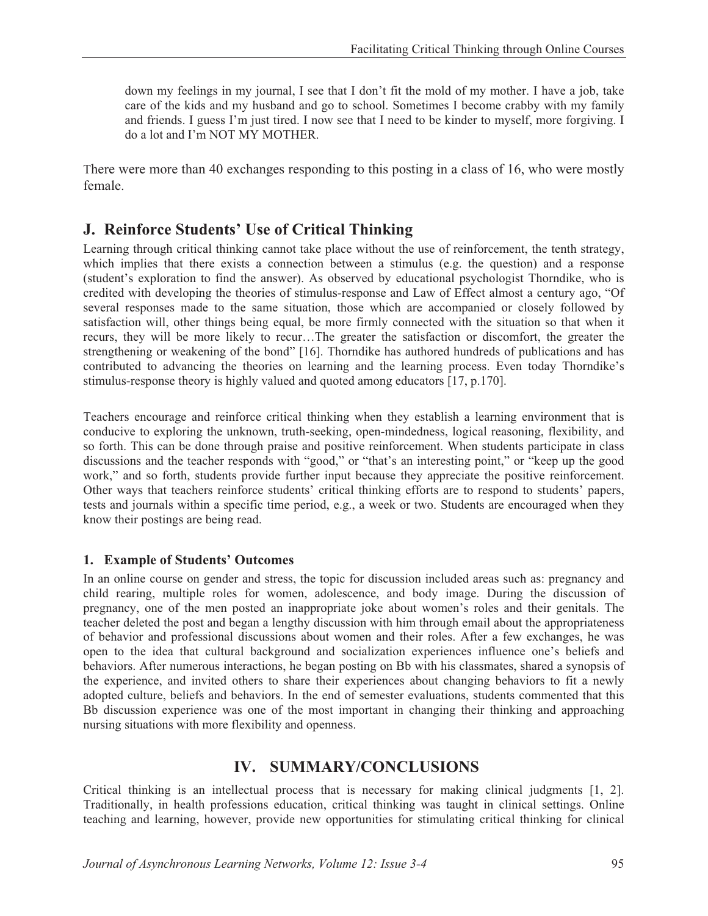down my feelings in my journal, I see that I don't fit the mold of my mother. I have a job, take care of the kids and my husband and go to school. Sometimes I become crabby with my family and friends. I guess I'm just tired. I now see that I need to be kinder to myself, more forgiving. I do a lot and I'm NOT MY MOTHER.

There were more than 40 exchanges responding to this posting in a class of 16, who were mostly female.

### **J. Reinforce Students' Use of Critical Thinking**

Learning through critical thinking cannot take place without the use of reinforcement, the tenth strategy, which implies that there exists a connection between a stimulus (e.g. the question) and a response (student's exploration to find the answer). As observed by educational psychologist Thorndike, who is credited with developing the theories of stimulus-response and Law of Effect almost a century ago, "Of several responses made to the same situation, those which are accompanied or closely followed by satisfaction will, other things being equal, be more firmly connected with the situation so that when it recurs, they will be more likely to recur…The greater the satisfaction or discomfort, the greater the strengthening or weakening of the bond" [16]. Thorndike has authored hundreds of publications and has contributed to advancing the theories on learning and the learning process. Even today Thorndike's stimulus-response theory is highly valued and quoted among educators [17, p.170].

Teachers encourage and reinforce critical thinking when they establish a learning environment that is conducive to exploring the unknown, truth-seeking, open-mindedness, logical reasoning, flexibility, and so forth. This can be done through praise and positive reinforcement. When students participate in class discussions and the teacher responds with "good," or "that's an interesting point," or "keep up the good work," and so forth, students provide further input because they appreciate the positive reinforcement. Other ways that teachers reinforce students' critical thinking efforts are to respond to students' papers, tests and journals within a specific time period, e.g., a week or two. Students are encouraged when they know their postings are being read.

#### **1. Example of Students' Outcomes**

In an online course on gender and stress, the topic for discussion included areas such as: pregnancy and child rearing, multiple roles for women, adolescence, and body image. During the discussion of pregnancy, one of the men posted an inappropriate joke about women's roles and their genitals. The teacher deleted the post and began a lengthy discussion with him through email about the appropriateness of behavior and professional discussions about women and their roles. After a few exchanges, he was open to the idea that cultural background and socialization experiences influence one's beliefs and behaviors. After numerous interactions, he began posting on Bb with his classmates, shared a synopsis of the experience, and invited others to share their experiences about changing behaviors to fit a newly adopted culture, beliefs and behaviors. In the end of semester evaluations, students commented that this Bb discussion experience was one of the most important in changing their thinking and approaching nursing situations with more flexibility and openness.

### **IV. SUMMARY/CONCLUSIONS**

Critical thinking is an intellectual process that is necessary for making clinical judgments [1, 2]. Traditionally, in health professions education, critical thinking was taught in clinical settings. Online teaching and learning, however, provide new opportunities for stimulating critical thinking for clinical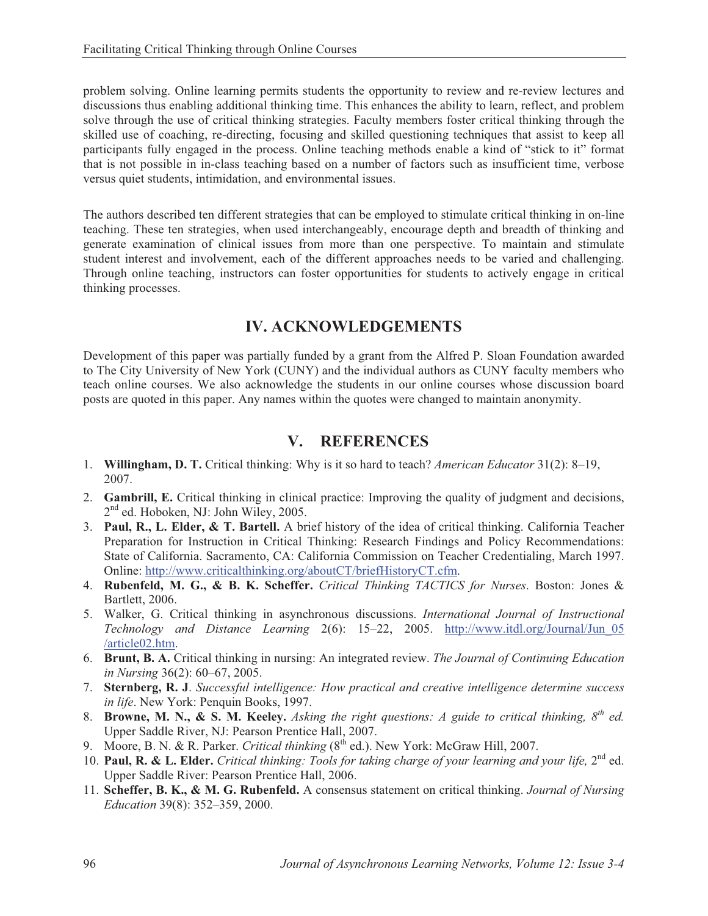problem solving. Online learning permits students the opportunity to review and re-review lectures and discussions thus enabling additional thinking time. This enhances the ability to learn, reflect, and problem solve through the use of critical thinking strategies. Faculty members foster critical thinking through the skilled use of coaching, re-directing, focusing and skilled questioning techniques that assist to keep all participants fully engaged in the process. Online teaching methods enable a kind of "stick to it" format that is not possible in in-class teaching based on a number of factors such as insufficient time, verbose versus quiet students, intimidation, and environmental issues.

The authors described ten different strategies that can be employed to stimulate critical thinking in on-line teaching. These ten strategies, when used interchangeably, encourage depth and breadth of thinking and generate examination of clinical issues from more than one perspective. To maintain and stimulate student interest and involvement, each of the different approaches needs to be varied and challenging. Through online teaching, instructors can foster opportunities for students to actively engage in critical thinking processes.

# **IV. ACKNOWLEDGEMENTS**

Development of this paper was partially funded by a grant from the Alfred P. Sloan Foundation awarded to The City University of New York (CUNY) and the individual authors as CUNY faculty members who teach online courses. We also acknowledge the students in our online courses whose discussion board posts are quoted in this paper. Any names within the quotes were changed to maintain anonymity.

# **V. REFERENCES**

- 1. **Willingham, D. T.** Critical thinking: Why is it so hard to teach? *American Educator* 31(2): 8–19, 2007.
- 2. **Gambrill, E.** Critical thinking in clinical practice: Improving the quality of judgment and decisions, 2<sup>nd</sup> ed. Hoboken, NJ: John Wiley, 2005.
- 3. **Paul, R., L. Elder, & T. Bartell.** A brief history of the idea of critical thinking. California Teacher Preparation for Instruction in Critical Thinking: Research Findings and Policy Recommendations: State of California. Sacramento, CA: California Commission on Teacher Credentialing, March 1997. Online: http://www.criticalthinking.org/aboutCT/briefHistoryCT.cfm.
- 4. **Rubenfeld, M. G., & B. K. Scheffer.** *Critical Thinking TACTICS for Nurses*. Boston: Jones & Bartlett, 2006.
- 5. Walker, G. Critical thinking in asynchronous discussions. *International Journal of Instructional Technology and Distance Learning* 2(6): 15–22, 2005. http://www.itdl.org/Journal/Jun\_05 /article02.htm.
- 6. **Brunt, B. A.** Critical thinking in nursing: An integrated review. *The Journal of Continuing Education in Nursing* 36(2): 60–67, 2005.
- 7. **Sternberg, R. J**. *Successful intelligence: How practical and creative intelligence determine success in life*. New York: Penquin Books, 1997.
- 8. **Browne, M. N., & S. M. Keeley.** Asking the right questions: A guide to critical thinking.  $8^{th}$  ed. Upper Saddle River, NJ: Pearson Prentice Hall, 2007.
- 9. Moore, B. N. & R. Parker. *Critical thinking* (8<sup>th</sup> ed.). New York: McGraw Hill, 2007.
- 10. **Paul, R. & L. Elder.** *Critical thinking: Tools for taking charge of your learning and your life,* 2nd ed. Upper Saddle River: Pearson Prentice Hall, 2006.
- 11. **Scheffer, B. K., & M. G. Rubenfeld.** A consensus statement on critical thinking. *Journal of Nursing Education* 39(8): 352–359, 2000.